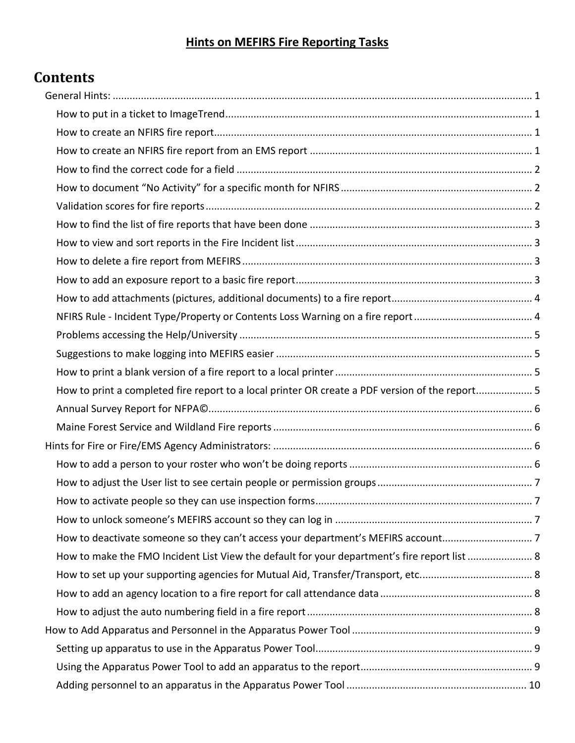## **Hints on MEFIRS Fire Reporting Tasks**

# **Contents**

|  | How to print a completed fire report to a local printer OR create a PDF version of the report 5 |  |
|--|-------------------------------------------------------------------------------------------------|--|
|  |                                                                                                 |  |
|  |                                                                                                 |  |
|  |                                                                                                 |  |
|  |                                                                                                 |  |
|  |                                                                                                 |  |
|  |                                                                                                 |  |
|  |                                                                                                 |  |
|  | How to deactivate someone so they can't access your department's MEFIRS account7                |  |
|  | How to make the FMO Incident List View the default for your department's fire report list  8    |  |
|  |                                                                                                 |  |
|  |                                                                                                 |  |
|  |                                                                                                 |  |
|  |                                                                                                 |  |
|  |                                                                                                 |  |
|  |                                                                                                 |  |
|  |                                                                                                 |  |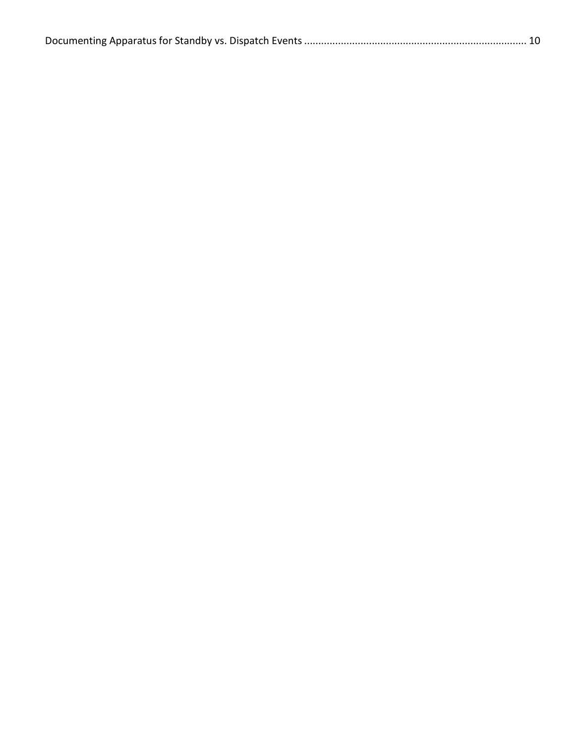|--|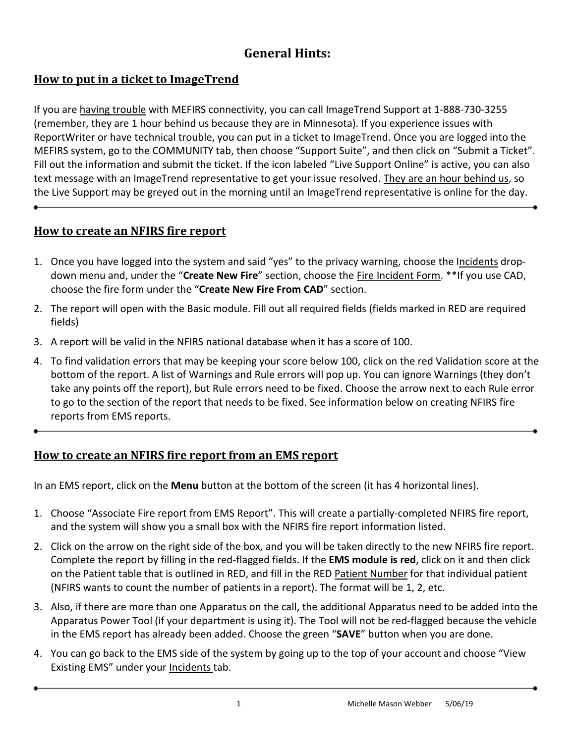## **General Hints:**

## <span id="page-2-1"></span><span id="page-2-0"></span>**How to put in a ticket to ImageTrend**

If you are having trouble with MEFIRS connectivity, you can call ImageTrend Support at 1-888-730-3255 (remember, they are 1 hour behind us because they are in Minnesota). If you experience issues with ReportWriter or have technical trouble, you can put in a ticket to ImageTrend. Once you are logged into the MEFIRS system, go to the COMMUNITY tab, then choose "Support Suite", and then click on "Submit a Ticket". Fill out the information and submit the ticket. If the icon labeled "Live Support Online" is active, you can also text message with an ImageTrend representative to get your issue resolved. They are an hour behind us, so the Live Support may be greyed out in the morning until an ImageTrend representative is online for the day.

#### <span id="page-2-2"></span>**How to create an NFIRS fire report**

- 1. Once you have logged into the system and said "yes" to the privacy warning, choose the Incidents dropdown menu and, under the "**Create New Fire**" section, choose the Fire Incident Form. \*\*If you use CAD, choose the fire form under the "**Create New Fire From CAD**" section.
- 2. The report will open with the Basic module. Fill out all required fields (fields marked in RED are required fields)
- 3. A report will be valid in the NFIRS national database when it has a score of 100.
- 4. To find validation errors that may be keeping your score below 100, click on the red Validation score at the bottom of the report. A list of Warnings and Rule errors will pop up. You can ignore Warnings (they don't take any points off the report), but Rule errors need to be fixed. Choose the arrow next to each Rule error to go to the section of the report that needs to be fixed. See information below on creating NFIRS fire reports from EMS reports.

#### <span id="page-2-3"></span>**How to create an NFIRS fire report from an EMS report**

In an EMS report, click on the **Menu** button at the bottom of the screen (it has 4 horizontal lines).

- 1. Choose "Associate Fire report from EMS Report". This will create a partially-completed NFIRS fire report, and the system will show you a small box with the NFIRS fire report information listed.
- 2. Click on the arrow on the right side of the box, and you will be taken directly to the new NFIRS fire report. Complete the report by filling in the red-flagged fields. If the **EMS module is red**, click on it and then click on the Patient table that is outlined in RED, and fill in the RED Patient Number for that individual patient (NFIRS wants to count the number of patients in a report). The format will be 1, 2, etc.
- 3. Also, if there are more than one Apparatus on the call, the additional Apparatus need to be added into the Apparatus Power Tool (if your department is using it). The Tool will not be red-flagged because the vehicle in the EMS report has already been added. Choose the green "**SAVE**" button when you are done.
- 4. You can go back to the EMS side of the system by going up to the top of your account and choose "View Existing EMS" under your Incidents tab.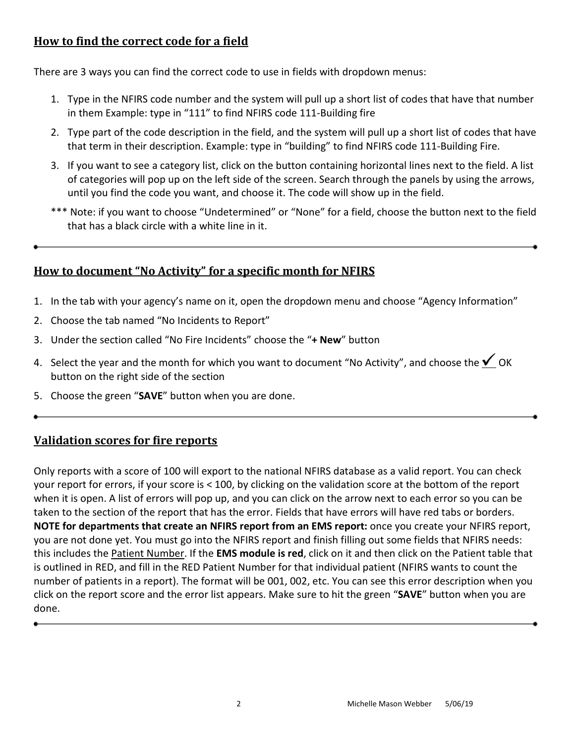#### <span id="page-3-0"></span>**How to find the correct code for a field**

There are 3 ways you can find the correct code to use in fields with dropdown menus:

- 1. Type in the NFIRS code number and the system will pull up a short list of codes that have that number in them Example: type in "111" to find NFIRS code 111-Building fire
- 2. Type part of the code description in the field, and the system will pull up a short list of codes that have that term in their description. Example: type in "building" to find NFIRS code 111-Building Fire.
- 3. If you want to see a category list, click on the button containing horizontal lines next to the field. A list of categories will pop up on the left side of the screen. Search through the panels by using the arrows, until you find the code you want, and choose it. The code will show up in the field.
- \*\*\* Note: if you want to choose "Undetermined" or "None" for a field, choose the button next to the field that has a black circle with a white line in it.

#### <span id="page-3-1"></span>**How to document "No Activity" for a specific month for NFIRS**

- 1. In the tab with your agency's name on it, open the dropdown menu and choose "Agency Information"
- 2. Choose the tab named "No Incidents to Report"
- 3. Under the section called "No Fire Incidents" choose the "**+ New**" button
- 4. Select the year and the month for which you want to document "No Activity", and choose the  $\leq$  OK button on the right side of the section
- 5. Choose the green "**SAVE**" button when you are done.

#### <span id="page-3-2"></span>**Validation scores for fire reports**

Only reports with a score of 100 will export to the national NFIRS database as a valid report. You can check your report for errors, if your score is < 100, by clicking on the validation score at the bottom of the report when it is open. A list of errors will pop up, and you can click on the arrow next to each error so you can be taken to the section of the report that has the error. Fields that have errors will have red tabs or borders. **NOTE for departments that create an NFIRS report from an EMS report:** once you create your NFIRS report, you are not done yet. You must go into the NFIRS report and finish filling out some fields that NFIRS needs: this includes the Patient Number. If the **EMS module is red**, click on it and then click on the Patient table that is outlined in RED, and fill in the RED Patient Number for that individual patient (NFIRS wants to count the number of patients in a report). The format will be 001, 002, etc. You can see this error description when you click on the report score and the error list appears. Make sure to hit the green "**SAVE**" button when you are done.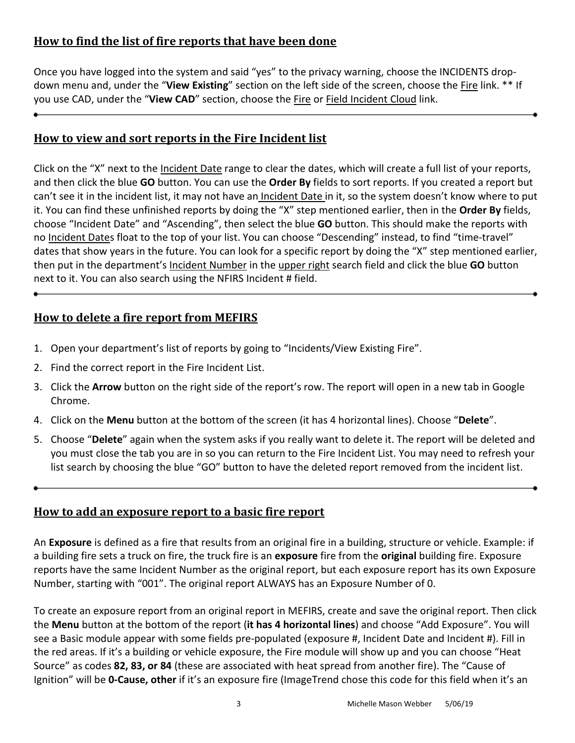#### <span id="page-4-0"></span>**How to find the list of fire reports that have been done**

Once you have logged into the system and said "yes" to the privacy warning, choose the INCIDENTS dropdown menu and, under the "**View Existing**" section on the left side of the screen, choose the Fire link. \*\* If you use CAD, under the "**View CAD**" section, choose the Fire or Field Incident Cloud link.

#### <span id="page-4-1"></span>**How to view and sort reports in the Fire Incident list**

Click on the "X" next to the *Incident Date* range to clear the dates, which will create a full list of your reports, and then click the blue **GO** button. You can use the **Order By** fields to sort reports. If you created a report but can't see it in the incident list, it may not have an Incident Date in it, so the system doesn't know where to put it. You can find these unfinished reports by doing the "X" step mentioned earlier, then in the **Order By** fields, choose "Incident Date" and "Ascending", then select the blue **GO** button. This should make the reports with no Incident Dates float to the top of your list. You can choose "Descending" instead, to find "time-travel" dates that show years in the future. You can look for a specific report by doing the "X" step mentioned earlier, then put in the department's Incident Number in the upper right search field and click the blue **GO** button next to it. You can also search using the NFIRS Incident # field.

#### <span id="page-4-2"></span>**How to delete a fire report from MEFIRS**

- 1. Open your department's list of reports by going to "Incidents/View Existing Fire".
- 2. Find the correct report in the Fire Incident List.
- 3. Click the **Arrow** button on the right side of the report's row. The report will open in a new tab in Google Chrome.
- 4. Click on the **Menu** button at the bottom of the screen (it has 4 horizontal lines). Choose "**Delete**".
- 5. Choose "**Delete**" again when the system asks if you really want to delete it. The report will be deleted and you must close the tab you are in so you can return to the Fire Incident List. You may need to refresh your list search by choosing the blue "GO" button to have the deleted report removed from the incident list.

#### <span id="page-4-3"></span>**How to add an exposure report to a basic fire report**

An **Exposure** is defined as a fire that results from an original fire in a building, structure or vehicle. Example: if a building fire sets a truck on fire, the truck fire is an **exposure** fire from the **original** building fire. Exposure reports have the same Incident Number as the original report, but each exposure report has its own Exposure Number, starting with "001". The original report ALWAYS has an Exposure Number of 0.

To create an exposure report from an original report in MEFIRS, create and save the original report. Then click the **Menu** button at the bottom of the report (**it has 4 horizontal lines**) and choose "Add Exposure". You will see a Basic module appear with some fields pre-populated (exposure #, Incident Date and Incident #). Fill in the red areas. If it's a building or vehicle exposure, the Fire module will show up and you can choose "Heat Source" as codes **82, 83, or 84** (these are associated with heat spread from another fire). The "Cause of Ignition" will be **0-Cause, other** if it's an exposure fire (ImageTrend chose this code for this field when it's an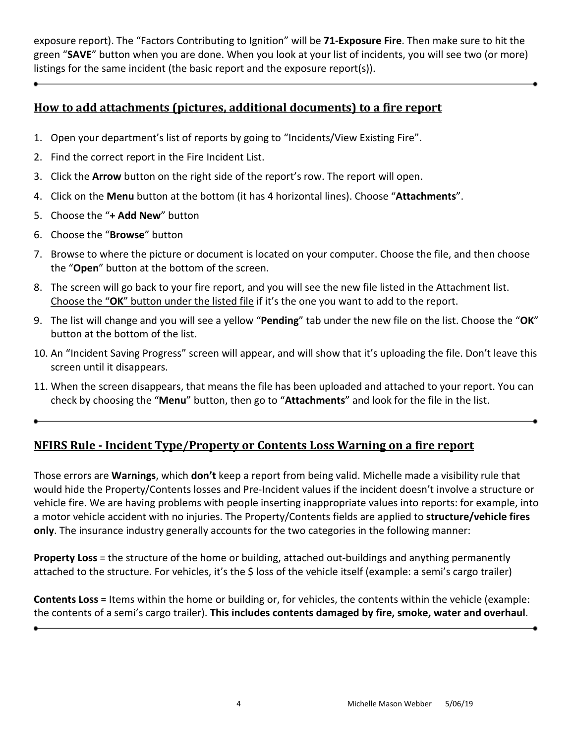exposure report). The "Factors Contributing to Ignition" will be **71-Exposure Fire**. Then make sure to hit the green "**SAVE**" button when you are done. When you look at your list of incidents, you will see two (or more) listings for the same incident (the basic report and the exposure report(s)).

#### <span id="page-5-0"></span>**How to add attachments (pictures, additional documents) to a fire report**

- 1. Open your department's list of reports by going to "Incidents/View Existing Fire".
- 2. Find the correct report in the Fire Incident List.
- 3. Click the **Arrow** button on the right side of the report's row. The report will open.
- 4. Click on the **Menu** button at the bottom (it has 4 horizontal lines). Choose "**Attachments**".
- 5. Choose the "**+ Add New**" button
- 6. Choose the "**Browse**" button
- 7. Browse to where the picture or document is located on your computer. Choose the file, and then choose the "**Open**" button at the bottom of the screen.
- 8. The screen will go back to your fire report, and you will see the new file listed in the Attachment list. Choose the "**OK**" button under the listed file if it's the one you want to add to the report.
- 9. The list will change and you will see a yellow "**Pending**" tab under the new file on the list. Choose the "**OK**" button at the bottom of the list.
- 10. An "Incident Saving Progress" screen will appear, and will show that it's uploading the file. Don't leave this screen until it disappears.
- 11. When the screen disappears, that means the file has been uploaded and attached to your report. You can check by choosing the "**Menu**" button, then go to "**Attachments**" and look for the file in the list.

## <span id="page-5-1"></span>**NFIRS Rule - Incident Type/Property or Contents Loss Warning on a fire report**

Those errors are **Warnings**, which **don't** keep a report from being valid. Michelle made a visibility rule that would hide the Property/Contents losses and Pre-Incident values if the incident doesn't involve a structure or vehicle fire. We are having problems with people inserting inappropriate values into reports: for example, into a motor vehicle accident with no injuries. The Property/Contents fields are applied to **structure/vehicle fires only**. The insurance industry generally accounts for the two categories in the following manner:

**Property Loss** = the structure of the home or building, attached out-buildings and anything permanently attached to the structure. For vehicles, it's the \$ loss of the vehicle itself (example: a semi's cargo trailer)

**Contents Loss** = Items within the home or building or, for vehicles, the contents within the vehicle (example: the contents of a semi's cargo trailer). **This includes contents damaged by fire, smoke, water and overhaul**.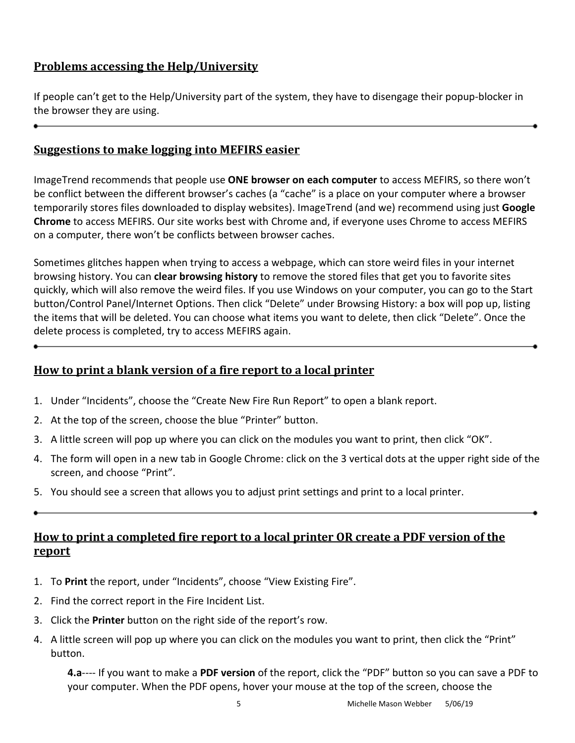### <span id="page-6-0"></span>**Problems accessing the Help/University**

If people can't get to the Help/University part of the system, they have to disengage their popup-blocker in the browser they are using.

#### <span id="page-6-1"></span>**Suggestions to make logging into MEFIRS easier**

ImageTrend recommends that people use **ONE browser on each computer** to access MEFIRS, so there won't be conflict between the different browser's caches (a "cache" is a place on your computer where a browser temporarily stores files downloaded to display websites). ImageTrend (and we) recommend using just **Google Chrome** to access MEFIRS. Our site works best with Chrome and, if everyone uses Chrome to access MEFIRS on a computer, there won't be conflicts between browser caches.

Sometimes glitches happen when trying to access a webpage, which can store weird files in your internet browsing history. You can **clear browsing history** to remove the stored files that get you to favorite sites quickly, which will also remove the weird files. If you use Windows on your computer, you can go to the Start button/Control Panel/Internet Options. Then click "Delete" under Browsing History: a box will pop up, listing the items that will be deleted. You can choose what items you want to delete, then click "Delete". Once the delete process is completed, try to access MEFIRS again.

#### <span id="page-6-2"></span>**How to print a blank version of a fire report to a local printer**

- 1. Under "Incidents", choose the "Create New Fire Run Report" to open a blank report.
- 2. At the top of the screen, choose the blue "Printer" button.
- 3. A little screen will pop up where you can click on the modules you want to print, then click "OK".
- 4. The form will open in a new tab in Google Chrome: click on the 3 vertical dots at the upper right side of the screen, and choose "Print".
- 5. You should see a screen that allows you to adjust print settings and print to a local printer.

<span id="page-6-3"></span>

## **How to print a completed fire report to a local printer OR create a PDF version of the report**

- 1. To **Print** the report, under "Incidents", choose "View Existing Fire".
- 2. Find the correct report in the Fire Incident List.
- 3. Click the **Printer** button on the right side of the report's row.
- 4. A little screen will pop up where you can click on the modules you want to print, then click the "Print" button.

**4.a**---- If you want to make a **PDF version** of the report, click the "PDF" button so you can save a PDF to your computer. When the PDF opens, hover your mouse at the top of the screen, choose the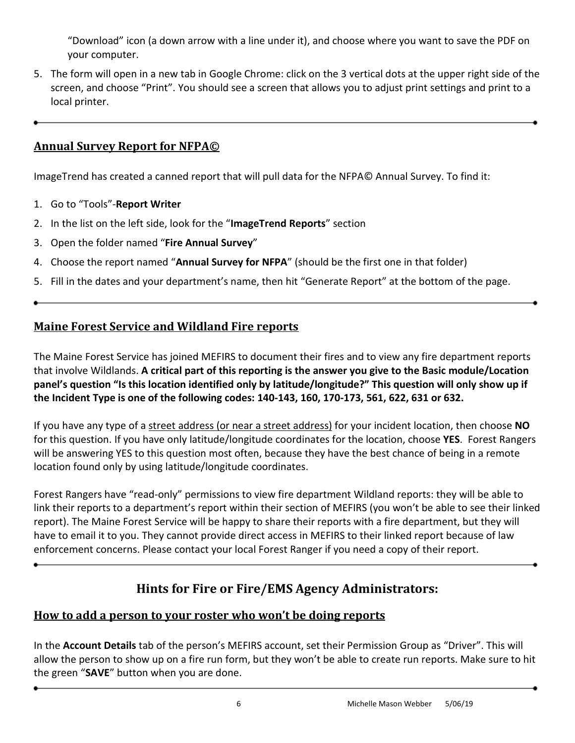"Download" icon (a down arrow with a line under it), and choose where you want to save the PDF on your computer.

5. The form will open in a new tab in Google Chrome: click on the 3 vertical dots at the upper right side of the screen, and choose "Print". You should see a screen that allows you to adjust print settings and print to a local printer.

#### <span id="page-7-0"></span>**Annual Survey Report for NFPA©**

ImageTrend has created a canned report that will pull data for the NFPA© Annual Survey. To find it:

- 1. Go to "Tools"-**Report Writer**
- 2. In the list on the left side, look for the "**ImageTrend Reports**" section
- 3. Open the folder named "**Fire Annual Survey**"
- 4. Choose the report named "**Annual Survey for NFPA**" (should be the first one in that folder)
- 5. Fill in the dates and your department's name, then hit "Generate Report" at the bottom of the page.

#### <span id="page-7-1"></span>**Maine Forest Service and Wildland Fire reports**

The Maine Forest Service has joined MEFIRS to document their fires and to view any fire department reports that involve Wildlands. **A critical part of this reporting is the answer you give to the Basic module/Location panel's question "Is this location identified only by latitude/longitude?" This question will only show up if the Incident Type is one of the following codes: 140-143, 160, 170-173, 561, 622, 631 or 632.**

If you have any type of a street address (or near a street address) for your incident location, then choose **NO** for this question. If you have only latitude/longitude coordinates for the location, choose **YES**. Forest Rangers will be answering YES to this question most often, because they have the best chance of being in a remote location found only by using latitude/longitude coordinates.

Forest Rangers have "read-only" permissions to view fire department Wildland reports: they will be able to link their reports to a department's report within their section of MEFIRS (you won't be able to see their linked report). The Maine Forest Service will be happy to share their reports with a fire department, but they will have to email it to you. They cannot provide direct access in MEFIRS to their linked report because of law enforcement concerns. Please contact your local Forest Ranger if you need a copy of their report.

## **Hints for Fire or Fire/EMS Agency Administrators:**

#### <span id="page-7-3"></span><span id="page-7-2"></span>**How to add a person to your roster who won't be doing reports**

In the **Account Details** tab of the person's MEFIRS account, set their Permission Group as "Driver". This will allow the person to show up on a fire run form, but they won't be able to create run reports. Make sure to hit the green "**SAVE**" button when you are done.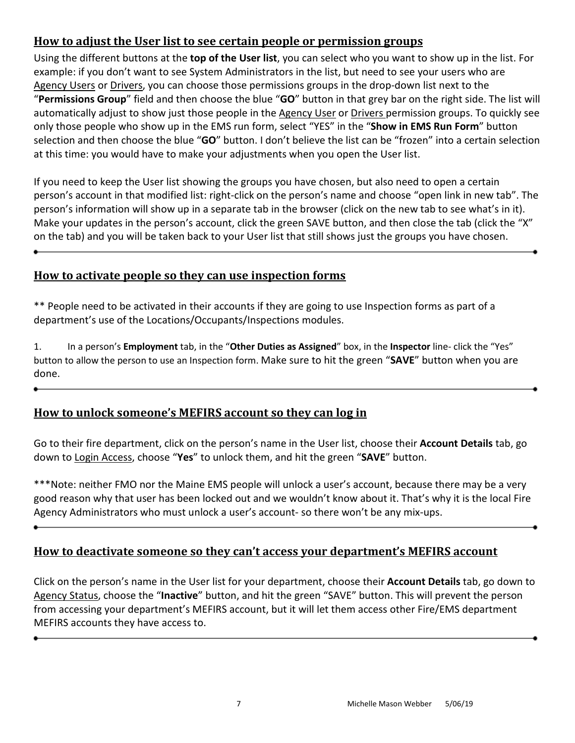#### <span id="page-8-0"></span>**How to adjust the User list to see certain people or permission groups**

Using the different buttons at the **top of the User list**, you can select who you want to show up in the list. For example: if you don't want to see System Administrators in the list, but need to see your users who are Agency Users or Drivers, you can choose those permissions groups in the drop-down list next to the "**Permissions Group**" field and then choose the blue "**GO**" button in that grey bar on the right side. The list will automatically adjust to show just those people in the Agency User or Drivers permission groups. To quickly see only those people who show up in the EMS run form, select "YES" in the "**Show in EMS Run Form**" button selection and then choose the blue "**GO**" button. I don't believe the list can be "frozen" into a certain selection at this time: you would have to make your adjustments when you open the User list.

If you need to keep the User list showing the groups you have chosen, but also need to open a certain person's account in that modified list: right-click on the person's name and choose "open link in new tab". The person's information will show up in a separate tab in the browser (click on the new tab to see what's in it). Make your updates in the person's account, click the green SAVE button, and then close the tab (click the "X" on the tab) and you will be taken back to your User list that still shows just the groups you have chosen.

<span id="page-8-1"></span>

#### **How to activate people so they can use inspection forms**

\*\* People need to be activated in their accounts if they are going to use Inspection forms as part of a department's use of the Locations/Occupants/Inspections modules.

1. In a person's **Employment** tab, in the "**Other Duties as Assigned**" box, in the **Inspector** line- click the "Yes" button to allow the person to use an Inspection form. Make sure to hit the green "**SAVE**" button when you are done.

## <span id="page-8-2"></span>**How to unlock someone's MEFIRS account so they can log in**

Go to their fire department, click on the person's name in the User list, choose their **Account Details** tab, go down to Login Access, choose "**Yes**" to unlock them, and hit the green "**SAVE**" button.

\*\*\*Note: neither FMO nor the Maine EMS people will unlock a user's account, because there may be a very good reason why that user has been locked out and we wouldn't know about it. That's why it is the local Fire Agency Administrators who must unlock a user's account- so there won't be any mix-ups.

<span id="page-8-3"></span>

## **How to deactivate someone so they can't access your department's MEFIRS account**

Click on the person's name in the User list for your department, choose their **Account Details** tab, go down to Agency Status, choose the "**Inactive**" button, and hit the green "SAVE" button. This will prevent the person from accessing your department's MEFIRS account, but it will let them access other Fire/EMS department MEFIRS accounts they have access to.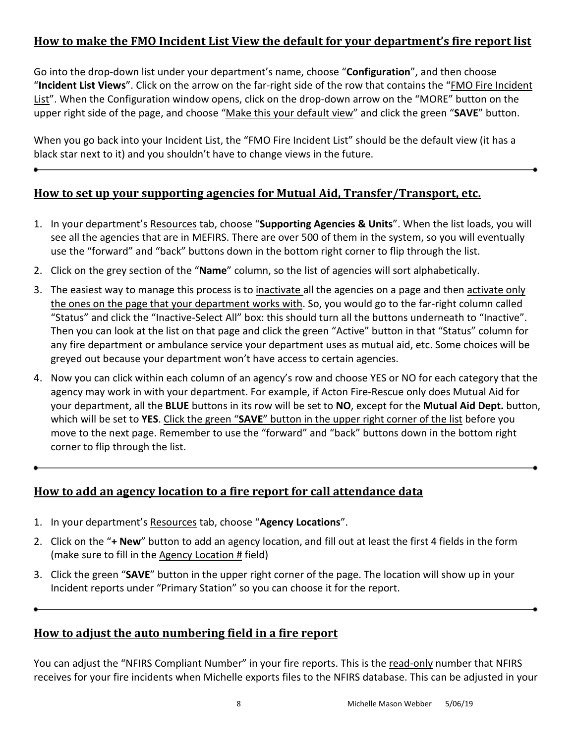### <span id="page-9-0"></span>**How to make the FMO Incident List View the default for your department's fire report list**

Go into the drop-down list under your department's name, choose "**Configuration**", and then choose "**Incident List Views**". Click on the arrow on the far-right side of the row that contains the "FMO Fire Incident List". When the Configuration window opens, click on the drop-down arrow on the "MORE" button on the upper right side of the page, and choose "Make this your default view" and click the green "**SAVE**" button.

When you go back into your Incident List, the "FMO Fire Incident List" should be the default view (it has a black star next to it) and you shouldn't have to change views in the future.

#### <span id="page-9-1"></span>**How to set up your supporting agencies for Mutual Aid, Transfer/Transport, etc.**

- 1. In your department's Resources tab, choose "**Supporting Agencies & Units**". When the list loads, you will see all the agencies that are in MEFIRS. There are over 500 of them in the system, so you will eventually use the "forward" and "back" buttons down in the bottom right corner to flip through the list.
- 2. Click on the grey section of the "**Name**" column, so the list of agencies will sort alphabetically.
- 3. The easiest way to manage this process is to inactivate all the agencies on a page and then activate only the ones on the page that your department works with. So, you would go to the far-right column called "Status" and click the "Inactive-Select All" box: this should turn all the buttons underneath to "Inactive". Then you can look at the list on that page and click the green "Active" button in that "Status" column for any fire department or ambulance service your department uses as mutual aid, etc. Some choices will be greyed out because your department won't have access to certain agencies.
- 4. Now you can click within each column of an agency's row and choose YES or NO for each category that the agency may work in with your department. For example, if Acton Fire-Rescue only does Mutual Aid for your department, all the **BLUE** buttons in its row will be set to **NO**, except for the **Mutual Aid Dept.** button, which will be set to **YES**. Click the green "**SAVE**" button in the upper right corner of the list before you move to the next page. Remember to use the "forward" and "back" buttons down in the bottom right corner to flip through the list.

#### <span id="page-9-2"></span>**How to add an agency location to a fire report for call attendance data**

- 1. In your department's Resources tab, choose "**Agency Locations**".
- 2. Click on the "**+ New**" button to add an agency location, and fill out at least the first 4 fields in the form (make sure to fill in the  $Agency$  Location  $#$  field)
- 3. Click the green "**SAVE**" button in the upper right corner of the page. The location will show up in your Incident reports under "Primary Station" so you can choose it for the report.

#### <span id="page-9-3"></span>**How to adjust the auto numbering field in a fire report**

You can adjust the "NFIRS Compliant Number" in your fire reports. This is the read-only number that NFIRS receives for your fire incidents when Michelle exports files to the NFIRS database. This can be adjusted in your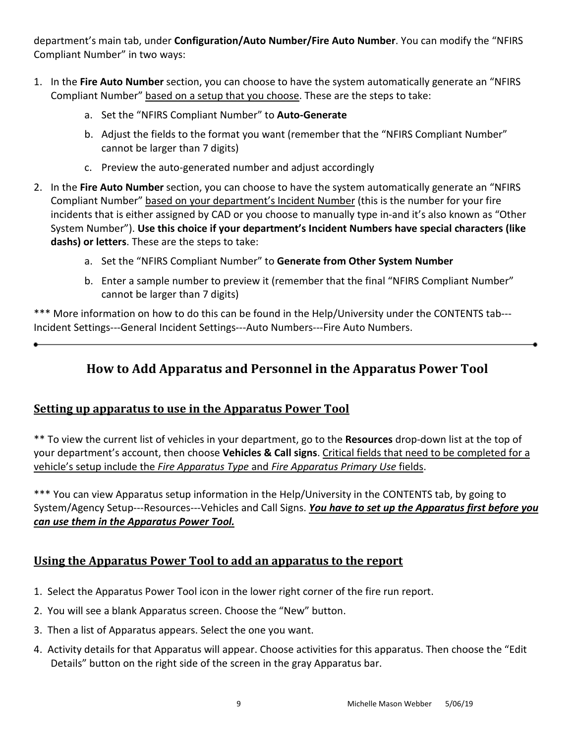department's main tab, under **Configuration/Auto Number/Fire Auto Number**. You can modify the "NFIRS Compliant Number" in two ways:

- 1. In the **Fire Auto Number** section, you can choose to have the system automatically generate an "NFIRS Compliant Number" based on a setup that you choose. These are the steps to take:
	- a. Set the "NFIRS Compliant Number" to **Auto-Generate**
	- b. Adjust the fields to the format you want (remember that the "NFIRS Compliant Number" cannot be larger than 7 digits)
	- c. Preview the auto-generated number and adjust accordingly
- 2. In the **Fire Auto Number** section, you can choose to have the system automatically generate an "NFIRS Compliant Number" based on your department's Incident Number (this is the number for your fire incidents that is either assigned by CAD or you choose to manually type in-and it's also known as "Other System Number"). **Use this choice if your department's Incident Numbers have special characters (like dashs) or letters**. These are the steps to take:
	- a. Set the "NFIRS Compliant Number" to **Generate from Other System Number**
	- b. Enter a sample number to preview it (remember that the final "NFIRS Compliant Number" cannot be larger than 7 digits)

<span id="page-10-0"></span>\*\*\* More information on how to do this can be found in the Help/University under the CONTENTS tab--- Incident Settings---General Incident Settings---Auto Numbers---Fire Auto Numbers.

## **How to Add Apparatus and Personnel in the Apparatus Power Tool**

#### <span id="page-10-1"></span>**Setting up apparatus to use in the Apparatus Power Tool**

\*\* To view the current list of vehicles in your department, go to the **Resources** drop-down list at the top of your department's account, then choose **Vehicles & Call signs**. Critical fields that need to be completed for a vehicle's setup include the *Fire Apparatus Type* and *Fire Apparatus Primary Use* fields.

\*\*\* You can view Apparatus setup information in the Help/University in the CONTENTS tab, by going to System/Agency Setup---Resources---Vehicles and Call Signs. *You have to set up the Apparatus first before you can use them in the Apparatus Power Tool.*

#### <span id="page-10-2"></span>**Using the Apparatus Power Tool to add an apparatus to the report**

- 1. Select the Apparatus Power Tool icon in the lower right corner of the fire run report.
- 2. You will see a blank Apparatus screen. Choose the "New" button.
- 3. Then a list of Apparatus appears. Select the one you want.
- 4. Activity details for that Apparatus will appear. Choose activities for this apparatus. Then choose the "Edit Details" button on the right side of the screen in the gray Apparatus bar.